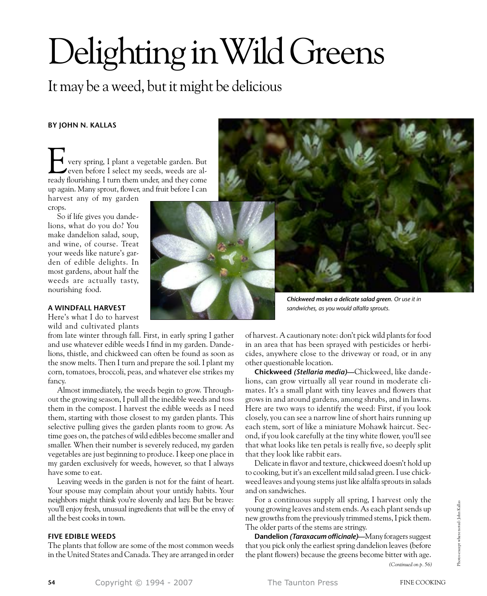# Delighting in Wild Greens

# It may be a weed, but it might be delicious

# **by John N. Kallas**

very spring, I plant a vegetable garden. But even before I select my seeds, weeds are al-**Fig. 1** very spring, I plant a vegetable garden. But even before I select my seeds, weeds are already flourishing. I turn them under, and they come up again. Many sprout, flower, and fruit before I can harvest any of my garden

crops.

So if life gives you dandelions, what do you do? You make dandelion salad, soup, and wine, of course. Treat your weeds like nature's garden of edible delights. In most gardens, about half the weeds are actually tasty, nourishing food.



Here's what I do to harvest wild and cultivated plants

from late winter through fall. First, in early spring I gather and use whatever edible weeds I find in my garden. Dandelions, thistle, and chickweed can often be found as soon as the snow melts. Then I turn and prepare the soil. I plant my corn, tomatoes, broccoli, peas, and whatever else strikes my fancy.

Almost immediately, the weeds begin to grow. Throughout the growing season, I pull all the inedible weeds and toss them in the compost. I harvest the edible weeds as I need them, starting with those closest to my garden plants. This selective pulling gives the garden plants room to grow. As time goes on, the patches of wild edibles become smaller and smaller. When their number is severely reduced, my garden vegetables are just beginning to produce. I keep one place in my garden exclusively for weeds, however, so that I always have some to eat.

Leaving weeds in the garden is not for the faint of heart. Your spouse may complain about your untidy habits. Your neighbors might think you're slovenly and lazy. But be brave: you'll enjoy fresh, unusual ingredients that will be the envy of all the best cooks in town.

## **Five Edible Weeds**

The plants that follow are some of the most common weeds in the United States and Canada. They are arranged in order



*Chickweed makes a delicate salad green. Or use it in sandwiches, as you would alfalfa sprouts.*

of harvest. A cautionary note: don't pick wild plants for food in an area that has been sprayed with pesticides or herbicides, anywhere close to the driveway or road, or in any other questionable location.

**Chickweed** *(Stellaria media)***—**Chickweed, like dandelions, can grow virtually all year round in moderate climates. It's a small plant with tiny leaves and flowers that grows in and around gardens, among shrubs, and in lawns. Here are two ways to identify the weed: First, if you look closely, you can see a narrow line of short hairs running up each stem, sort of like a miniature Mohawk haircut. Second, if you look carefully at the tiny white flower, you'll see that what looks like ten petals is really five, so deeply split that they look like rabbit ears.

Delicate in flavor and texture, chickweed doesn't hold up to cooking, but it's an excellent mild salad green. I use chickweed leaves and young stems just like alfalfa sprouts in salads and on sandwiches.

For a continuous supply all spring, I harvest only the young growing leaves and stem ends. As each plant sends up new growths from the previously trimmed stems, I pick them. The older parts of the stems are stringy.

**Dandelion** *(Taraxacum officinale)***—**Many foragers suggest that you pick only the earliest spring dandelion leaves (before the plant flowers) because the greens become bitter with age. *(Continued on p. 56)*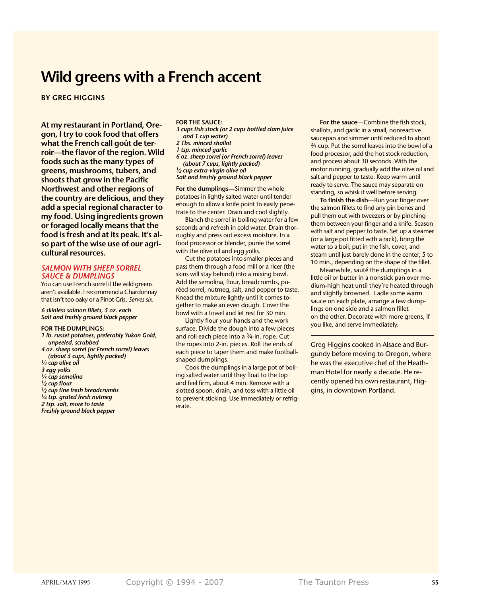# **Wild greens with a French accent**

**by Greg Higgins**

**At my restaurant in Portland, Oregon, I try to cook food that offers what the French call goût de terroir—the flavor of the region. Wild foods such as the many types of greens, mushrooms, tubers, and shoots that grow in the Pacific Northwest and other regions of the country are delicious, and they add a special regional character to my food. Using ingredients grown or foraged locally means that the food is fresh and at its peak. It's also part of the wise use of our agricultural resources.**

#### *Salmon with sheep sorrel sauce & dumplings*

You can use French sorrel if the wild greens aren't available. I recommend a Chardonnay that isn't too oaky or a Pinot Gris. *Serves six.*

#### *6 skinless salmon fillets, 5 oz. each Salt and freshly ground black pepper*

#### **For the dumplings:**

- *1 lb. russet potatoes, preferably Yukon Gold, unpeeled, scrubbed*
- *4 oz. sheep sorrel (or French sorrel) leaves (about 5 cups, lightly packed)*
- *1⁄4 cup olive oil*
- *3 egg yolks*
- *1⁄3 cup semolina*
- *1⁄2 cup flour*
- *1⁄2 cup fine fresh breadcrumbs 1⁄4 tsp. grated fresh nutmeg*
- *2 tsp. salt, more to taste*
- *Freshly ground black pepper*

#### **for the sauce:**

- *3 cups fish stock (or 2 cups bottled clam juice and 1 cup water)*
- *2 Tbs. minced shallot*
- *1 tsp. minced garlic*
- *6 oz. sheep sorrel (or French sorrel) leaves (about 7 cups, lightly packed) 1⁄2 cup extra-virgin olive oil Salt and freshly ground black pepper*

**For the dumplings—**Simmer the whole potatoes in lightly salted water until tender enough to allow a knife point to easily penetrate to the center. Drain and cool slightly.

Blanch the sorrel in boiling water for a few seconds and refresh in cold water. Drain thoroughly and press out excess moisture. In a food processor or blender, purée the sorrel with the olive oil and egg yolks.

Cut the potatoes into smaller pieces and pass them through a food mill or a ricer (the skins will stay behind) into a mixing bowl. Add the semolina, flour, breadcrumbs, puréed sorrel, nutmeg, salt, and pepper to taste. Knead the mixture lightly until it comes together to make an even dough. Cover the bowl with a towel and let rest for 30 min.

Lightly flour your hands and the work surface. Divide the dough into a few pieces and roll each piece into a 3/4-in. rope. Cut the ropes into 2-in. pieces. Roll the ends of each piece to taper them and make footballshaped dumplings.

Cook the dumplings in a large pot of boiling salted water until they float to the top and feel firm, about 4 min. Remove with a slotted spoon, drain, and toss with a little oil to prevent sticking. Use immediately or refrigerate.

**For the sauce—**Combine the fish stock, shallots, and garlic in a small, nonreactive saucepan and simmer until reduced to about <sup>2</sup>/<sub>3</sub> cup. Put the sorrel leaves into the bowl of a food processor, add the hot stock reduction, and process about 30 seconds. With the motor running, gradually add the olive oil and salt and pepper to taste. Keep warm until ready to serve. The sauce may separate on standing, so whisk it well before serving.

**To finish the dish—**Run your finger over the salmon fillets to find any pin bones and pull them out with tweezers or by pinching them between your finger and a knife. Season with salt and pepper to taste. Set up a steamer (or a large pot fitted with a rack), bring the water to a boil, put in the fish, cover, and steam until just barely done in the center, 5 to 10 min., depending on the shape of the fillet.

Meanwhile, sauté the dumplings in a little oil or butter in a nonstick pan over medium-high heat until they're heated through and slightly browned. Ladle some warm sauce on each plate, arrange a few dumplings on one side and a salmon fillet on the other. Decorate with more greens, if you like, and serve immediately.

Greg Higgins cooked in Alsace and Burgundy before moving to Oregon, where he was the executive chef of the Heathman Hotel for nearly a decade. He recently opened his own restaurant, Higgins, in downtown Portland.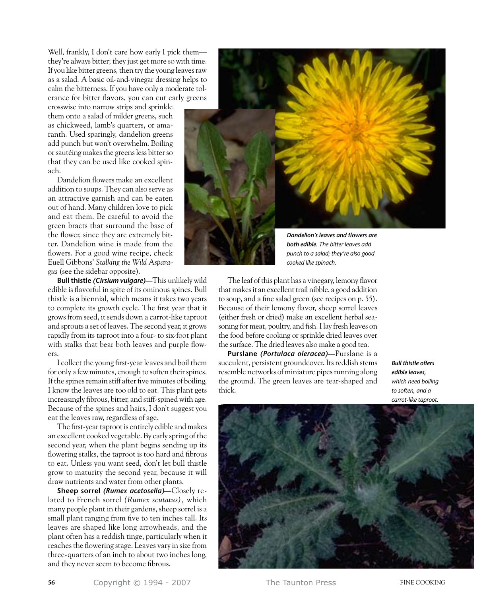Well, frankly, I don't care how early I pick them they're always bitter; they just get more so with time. If you like bitter greens, then try the young leaves raw as a salad. A basic oil-and-vinegar dressing helps to calm the bitterness. If you have only a moderate tolerance for bitter flavors, you can cut early greens

crosswise into narrow strips and sprinkle them onto a salad of milder greens, such as chickweed, lamb's quarters, or amaranth. Used sparingly, dandelion greens add punch but won't overwhelm. Boiling or sautéing makes the greens less bitter so that they can be used like cooked spinach.

Dandelion flowers make an excellent addition to soups. They can also serve as an attractive garnish and can be eaten out of hand. Many children love to pick and eat them. Be careful to avoid the green bracts that surround the base of the flower, since they are extremely bitter. Dandelion wine is made from the flowers. For a good wine recipe, check Euell Gibbons' *Stalking the Wild Asparagus* (see the sidebar opposite).

**Bull thistle** *(Cirsium vulgare)***—**This unlikely wild edible is flavorful in spite of its ominous spines. Bull thistle is a biennial, which means it takes two years to complete its growth cycle. The first year that it grows from seed, it sends down a carrot-like taproot and sprouts a set of leaves. The second year, it grows rapidly from its taproot into a four- to six-foot plant with stalks that bear both leaves and purple flowers.

I collect the young first-year leaves and boil them for only a few minutes, enough to soften their spines. If the spines remain stiff after five minutes of boiling, I know the leaves are too old to eat. This plant gets increasingly fibrous, bitter, and stiff-spined with age. Because of the spines and hairs, I don't suggest you eat the leaves raw, regardless of age.

The first-year taproot is entirely edible and makes an excellent cooked vegetable. By early spring of the second year, when the plant begins sending up its flowering stalks, the taproot is too hard and fibrous to eat. Unless you want seed, don't let bull thistle grow to maturity the second year, because it will draw nutrients and water from other plants.

**Sheep sorrel** *(Rumex acetosella)***—**Closely related to French sorrel *(Rumex scutatus),* which many people plant in their gardens, sheep sorrel is a small plant ranging from five to ten inches tall. Its leaves are shaped like long arrowheads, and the plant often has a reddish tinge, particularly when it reaches the flowering stage. Leaves vary in size from three-quarters of an inch to about two inches long, and they never seem to become fibrous.



*both edible. The bitter leaves add punch to a salad; they're also good cooked like spinach.*

The leaf of this plant has a vinegary, lemony flavor that makes it an excellent trail nibble, a good addition to soup, and a fine salad green (see recipes on p. 55). Because of their lemony flavor, sheep sorrel leaves (either fresh or dried) make an excellent herbal seasoning for meat, poultry, and fish. I lay fresh leaves on the food before cooking or sprinkle dried leaves over the surface. The dried leaves also make a good tea.

**Purslane** *(Portulaca oleracea)***—**Purslane is a succulent, persistent groundcover. Its reddish stems resemble networks of miniature pipes running along the ground. The green leaves are tear-shaped and thick.

*Bull thistle offers edible leaves, which need boiling to soften, and a carrot-like taproot.*



**56 Copyright © 1994 - 2007** The Taunton Press **FINE COOKING**